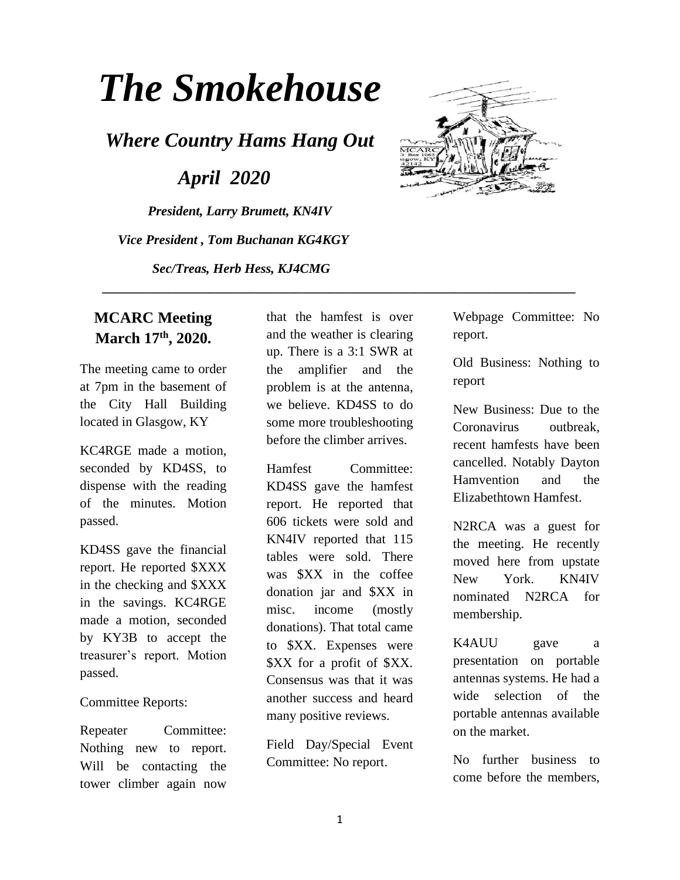# *The Smokehouse*

*Where Country Hams Hang Out*

 *April 2020*

*President, Larry Brumett, KN4IV Vice President , Tom Buchanan KG4KGY Sec/Treas, Herb Hess, KJ4CMG*



#### **MCARC Meeting March 17th, 2020.**

The meeting came to order at 7pm in the basement of the City Hall Building located in Glasgow, KY

KC4RGE made a motion, seconded by KD4SS, to dispense with the reading of the minutes. Motion passed.

KD4SS gave the financial report. He reported \$XXX in the checking and \$XXX in the savings. KC4RGE made a motion, seconded by KY3B to accept the treasurer's report. Motion passed.

#### Committee Reports:

Repeater Committee: Nothing new to report. Will be contacting the tower climber again now

that the hamfest is over and the weather is clearing up. There is a 3:1 SWR at the amplifier and the problem is at the antenna, we believe. KD4SS to do some more troubleshooting before the climber arrives.

 **\_\_\_\_\_\_\_\_\_\_\_\_\_\_\_\_\_\_\_\_\_\_\_\_\_\_\_\_\_\_\_\_\_\_\_\_\_\_\_\_\_\_\_\_\_\_\_\_\_\_\_\_\_\_\_\_\_\_\_\_\_\_\_\_\_\_\_\_\_\_\_**

Hamfest Committee: KD4SS gave the hamfest report. He reported that 606 tickets were sold and KN4IV reported that 115 tables were sold. There was \$XX in the coffee donation jar and \$XX in misc. income (mostly donations). That total came to \$XX. Expenses were \$XX for a profit of \$XX. Consensus was that it was another success and heard many positive reviews.

Field Day/Special Event Committee: No report.

Webpage Committee: No report.

Old Business: Nothing to report

New Business: Due to the Coronavirus outbreak, recent hamfests have been cancelled. Notably Dayton Hamvention and the Elizabethtown Hamfest.

N2RCA was a guest for the meeting. He recently moved here from upstate New York. KN4IV nominated N2RCA for membership.

K4AUU gave a presentation on portable antennas systems. He had a wide selection of the portable antennas available on the market.

No further business to come before the members,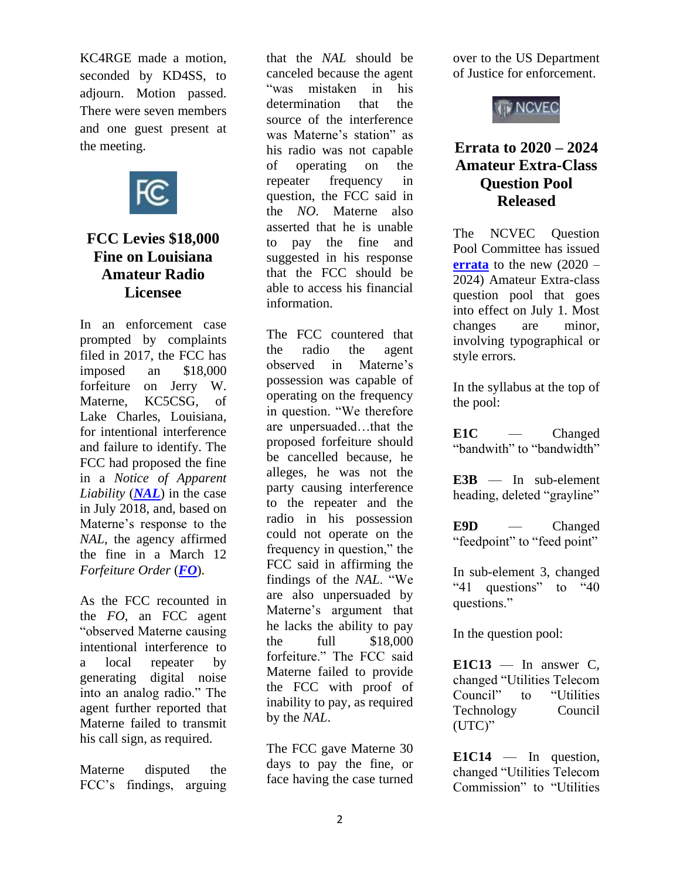KC4RGE made a motion, seconded by KD4SS, to adjourn. Motion passed. There were seven members and one guest present at the meeting.



### **FCC Levies \$18,000 Fine on Louisiana Amateur Radio Licensee**

In an enforcement case prompted by complaints filed in 2017, the FCC has imposed an \$18,000 forfeiture on Jerry W. Materne, KC5CSG, of Lake Charles, Louisiana, for intentional interference and failure to identify. The FCC had proposed the fine in a *Notice of Apparent Liability* (*[NAL](https://docs.fcc.gov/public/attachments/DA-18-762A1.pdf)*) in the case in July 2018, and, based on Materne's response to the *NAL*, the agency affirmed the fine in a March 12 *Forfeiture Order* (*[FO](https://docs.fcc.gov/public/attachments/DA-20-255A1.pdf)*).

As the FCC recounted in the *FO*, an FCC agent "observed Materne causing intentional interference to a local repeater by generating digital noise into an analog radio." The agent further reported that Materne failed to transmit his call sign, as required.

Materne disputed the FCC's findings, arguing

that the *NAL* should be canceled because the agent "was mistaken in his determination that the source of the interference was Materne's station" as his radio was not capable of operating on the repeater frequency in question, the FCC said in the *NO*. Materne also asserted that he is unable to pay the fine and suggested in his response that the FCC should be able to access his financial information.

The FCC countered that the radio the agent observed in Materne's possession was capable of operating on the frequency in question. "We therefore are unpersuaded…that the proposed forfeiture should be cancelled because, he alleges, he was not the party causing interference to the repeater and the radio in his possession could not operate on the frequency in question," the FCC said in affirming the findings of the *NAL*. "We are also unpersuaded by Materne's argument that he lacks the ability to pay the full \$18,000 forfeiture." The FCC said Materne failed to provide the FCC with proof of inability to pay, as required by the *NAL*.

The FCC gave Materne 30 days to pay the fine, or face having the case turned over to the US Department of Justice for enforcement.



## **Errata to 2020 – 2024 Amateur Extra-Class Question Pool Released**

The NCVEC Question Pool Committee has issued **[errata](http://www.ncvec.org/page.php?id=356)** to the new (2020 – 2024) Amateur Extra-class question pool that goes into effect on July 1. Most changes are minor, involving typographical or style errors.

In the syllabus at the top of the pool:

**E1C** — Changed "bandwith" to "bandwidth"

**E3B** — In sub-element heading, deleted "grayline"

**E9D** — Changed "feedpoint" to "feed point"

In sub-element 3, changed "41 questions" to "40 questions."

In the question pool:

 $E1C13$  — In answer C, changed "Utilities Telecom Council" to "Utilities Technology Council (UTC)"

**E1C14** — In question, changed "Utilities Telecom Commission" to "Utilities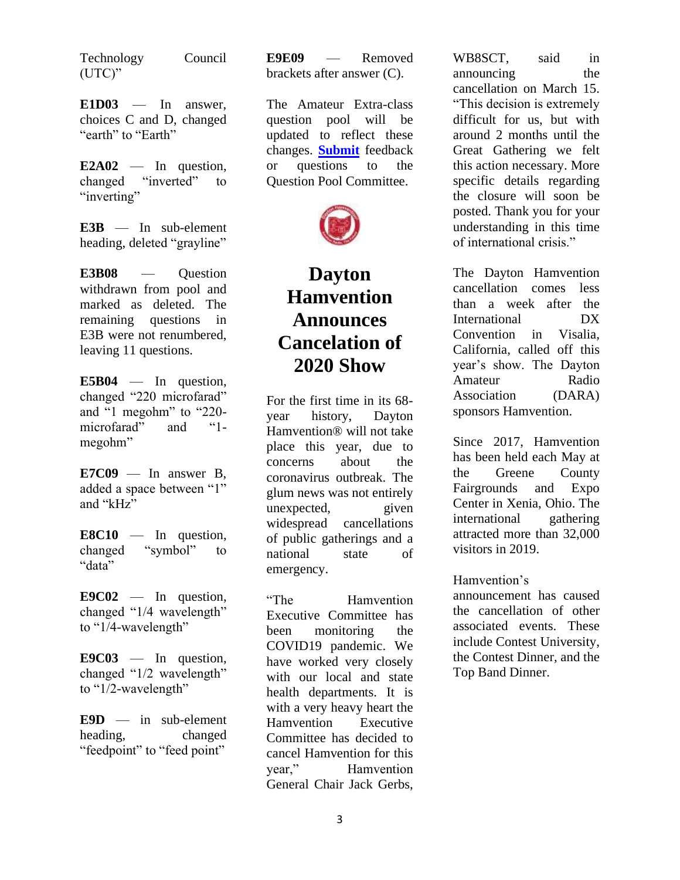Technology Council (UTC)"

**E1D03** — In answer, choices C and D, changed "earth" to "Earth"

**E2A02** — In question, changed "inverted" to "inverting"

**E3B** — In sub-element heading, deleted "grayline"

**E3B08** — Question withdrawn from pool and marked as deleted. The remaining questions in E3B were not renumbered, leaving 11 questions.

**E5B04** — In question, changed "220 microfarad" and "1 megohm" to "220 microfarad" and "1 megohm"

**E7C09** — In answer B, added a space between "1" and " $kHz$ "

**E8C10** — In question, changed "symbol" to "data"

**E9C02** — In question, changed "1/4 wavelength" to "1/4-wavelength"

**E9C03** — In question, changed "1/2 wavelength" to "1/2-wavelength"

**E9D** — in sub-element heading, changed "feedpoint" to "feed point"

**E9E09** — Removed brackets after answer (C).

The Amateur Extra-class question pool will be updated to reflect these changes. **[Submit](mailto:qpcinput@ncvec.org)** feedback or questions to the Question Pool Committee.



# **Dayton Hamvention Announces Cancelation of 2020 Show**

For the first time in its 68 year history, Dayton Hamvention® will not take place this year, due to concerns about the coronavirus outbreak. The glum news was not entirely unexpected, given widespread cancellations of public gatherings and a national state of emergency.

"The Hamvention Executive Committee has been monitoring the COVID19 pandemic. We have worked very closely with our local and state health departments. It is with a very heavy heart the Hamvention Executive Committee has decided to cancel Hamvention for this<br>vear." Hamvention Hamvention General Chair Jack Gerbs,

WB8SCT, said in announcing the cancellation on March 15. "This decision is extremely difficult for us, but with around 2 months until the Great Gathering we felt this action necessary. More specific details regarding the closure will soon be posted. Thank you for your understanding in this time of international crisis."

The Dayton Hamvention cancellation comes less than a week after the International DX Convention in Visalia, California, called off this year's show. The Dayton Amateur Radio Association (DARA) sponsors Hamvention.

Since 2017, Hamvention has been held each May at the Greene County Fairgrounds and Expo Center in Xenia, Ohio. The international gathering attracted more than 32,000 visitors in 2019.

Hamvention's

announcement has caused the cancellation of other associated events. These include Contest University, the Contest Dinner, and the Top Band Dinner.